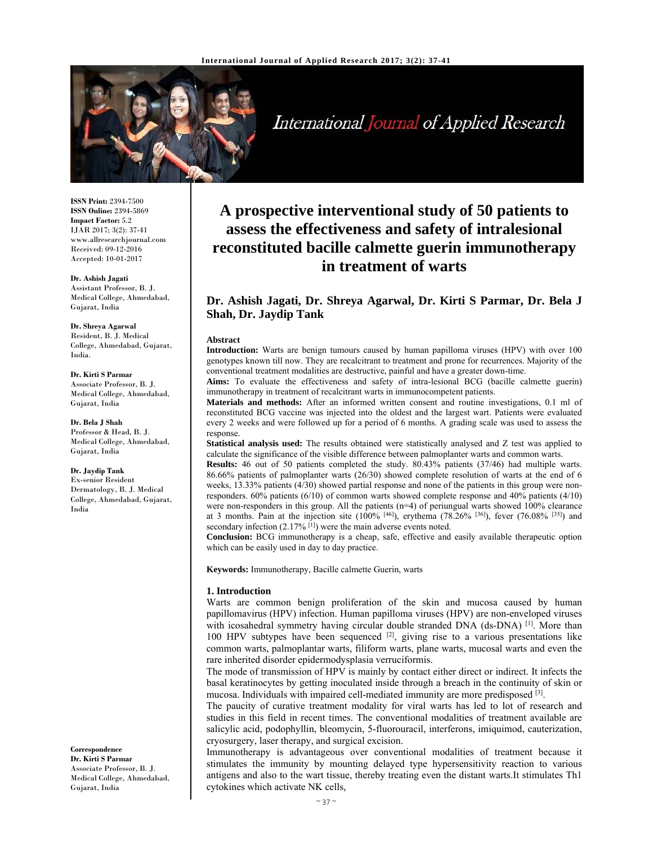

International Journal of Applied Research

**ISSN Print:** 2394-7500 **ISSN Online:** 2394-5869 **Impact Factor:** 5.2 IJAR 2017; 3(2): 37-41 www.allresearchjournal.com Received: 09-12-2016 Accepted: 10-01-2017

**Dr. Ashish Jagati**  Assistant Professor, B. J. Medical College, Ahmedabad, Gujarat, India

**Dr. Shreya Agarwal**  Resident, B. J. Medical College, Ahmedabad, Gujarat, India.

**Dr. Kirti S Parmar**  Associate Professor, B. J. Medical College, Ahmedabad, Gujarat, India

**Dr. Bela J Shah**  Professor & Head, B. J. Medical College, Ahmedabad, Gujarat, India

**Dr. Jaydip Tank**  Ex-senior Resident Dermatology, B. J. Medical College, Ahmedabad, Gujarat, India

**Correspondence Dr. Kirti S Parmar**  Associate Professor, B. J. Medical College, Ahmedabad, Gujarat, India

# **A prospective interventional study of 50 patients to assess the effectiveness and safety of intralesional reconstituted bacille calmette guerin immunotherapy in treatment of warts**

# **Dr. Ashish Jagati, Dr. Shreya Agarwal, Dr. Kirti S Parmar, Dr. Bela J Shah, Dr. Jaydip Tank**

#### **Abstract**

**Introduction:** Warts are benign tumours caused by human papilloma viruses (HPV) with over 100 genotypes known till now. They are recalcitrant to treatment and prone for recurrences. Majority of the conventional treatment modalities are destructive, painful and have a greater down-time.

**Aims:** To evaluate the effectiveness and safety of intra-lesional BCG (bacille calmette guerin) immunotherapy in treatment of recalcitrant warts in immunocompetent patients.

**Materials and methods:** After an informed written consent and routine investigations, 0.1 ml of reconstituted BCG vaccine was injected into the oldest and the largest wart. Patients were evaluated every 2 weeks and were followed up for a period of 6 months. A grading scale was used to assess the response.

**Statistical analysis used:** The results obtained were statistically analysed and Z test was applied to calculate the significance of the visible difference between palmoplanter warts and common warts.

**Results:** 46 out of 50 patients completed the study. 80.43% patients (37/46) had multiple warts. 86.66% patients of palmoplanter warts (26/30) showed complete resolution of warts at the end of 6 weeks, 13.33% patients (4/30) showed partial response and none of the patients in this group were nonresponders. 60% patients (6/10) of common warts showed complete response and 40% patients (4/10) were non-responders in this group. All the patients  $(n=4)$  of periungual warts showed 100% clearance at 3 months. Pain at the injection site (100% [46]), erythema (78.26% [36]), fever (76.08% [35]) and secondary infection  $(2.17\%$  [1]) were the main adverse events noted.

**Conclusion:** BCG immunotherapy is a cheap, safe, effective and easily available therapeutic option which can be easily used in day to day practice.

**Keywords:** Immunotherapy, Bacille calmette Guerin, warts

#### **1. Introduction**

Warts are common benign proliferation of the skin and mucosa caused by human papillomavirus (HPV) infection. Human papilloma viruses (HPV) are non-enveloped viruses with icosahedral symmetry having circular double stranded DNA (ds-DNA) <sup>[1]</sup>. More than 100 HPV subtypes have been sequenced  $[2]$ , giving rise to a various presentations like common warts, palmoplantar warts, filiform warts, plane warts, mucosal warts and even the rare inherited disorder epidermodysplasia verruciformis.

The mode of transmission of HPV is mainly by contact either direct or indirect. It infects the basal keratinocytes by getting inoculated inside through a breach in the continuity of skin or mucosa. Individuals with impaired cell-mediated immunity are more predisposed [3].

The paucity of curative treatment modality for viral warts has led to lot of research and studies in this field in recent times. The conventional modalities of treatment available are salicylic acid, podophyllin, bleomycin, 5-fluorouracil, interferons, imiquimod, cauterization, cryosurgery, laser therapy, and surgical excision.

Immunotherapy is advantageous over conventional modalities of treatment because it stimulates the immunity by mounting delayed type hypersensitivity reaction to various antigens and also to the wart tissue, thereby treating even the distant warts.It stimulates Th1 cytokines which activate NK cells,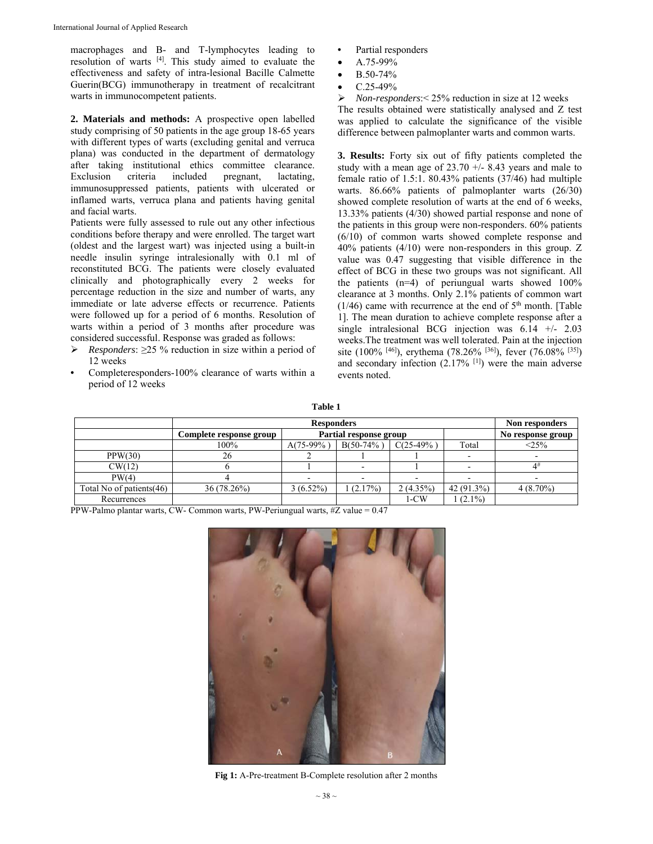macrophages and B- and T-lymphocytes leading to resolution of warts [4]. This study aimed to evaluate the effectiveness and safety of intra-lesional Bacille Calmette Guerin(BCG) immunotherapy in treatment of recalcitrant warts in immunocompetent patients.

**2. Materials and methods:** A prospective open labelled study comprising of 50 patients in the age group 18-65 years with different types of warts (excluding genital and verruca plana) was conducted in the department of dermatology after taking institutional ethics committee clearance. Exclusion criteria included pregnant, lactating, immunosuppressed patients, patients with ulcerated or inflamed warts, verruca plana and patients having genital and facial warts.

Patients were fully assessed to rule out any other infectious conditions before therapy and were enrolled. The target wart (oldest and the largest wart) was injected using a built-in needle insulin syringe intralesionally with 0.1 ml of reconstituted BCG. The patients were closely evaluated clinically and photographically every 2 weeks for percentage reduction in the size and number of warts, any immediate or late adverse effects or recurrence. Patients were followed up for a period of 6 months. Resolution of warts within a period of 3 months after procedure was considered successful. Response was graded as follows:

- *Responders*: ≥25 % reduction in size within a period of 12 weeks
- Completeresponders-100% clearance of warts within a period of 12 weeks
- Partial responders
- A.75-99%
- B.50-74%
- C.25-49%

 *Non-responders*:< 25% reduction in size at 12 weeks The results obtained were statistically analysed and Z test was applied to calculate the significance of the visible difference between palmoplanter warts and common warts.

**3. Results:** Forty six out of fifty patients completed the study with a mean age of  $23.70 +/- 8.43$  years and male to female ratio of 1.5:1. 80.43% patients (37/46) had multiple warts. 86.66% patients of palmoplanter warts (26/30) showed complete resolution of warts at the end of 6 weeks, 13.33% patients (4/30) showed partial response and none of the patients in this group were non-responders. 60% patients (6/10) of common warts showed complete response and 40% patients (4/10) were non-responders in this group. Z value was 0.47 suggesting that visible difference in the effect of BCG in these two groups was not significant. All the patients (n=4) of periungual warts showed 100% clearance at 3 months. Only 2.1% patients of common wart  $(1/46)$  came with recurrence at the end of  $5<sup>th</sup>$  month. [Table 1]. The mean duration to achieve complete response after a single intralesional BCG injection was 6.14 +/- 2.03 weeks.The treatment was well tolerated. Pain at the injection site (100% [46]), erythema (78.26% [36]), fever (76.08% [35]) and secondary infection  $(2.17\%$  [1]) were the main adverse events noted.

|--|--|

|                           |                         | Non responders         |              |            |              |                   |
|---------------------------|-------------------------|------------------------|--------------|------------|--------------|-------------------|
|                           | Complete response group | Partial response group |              |            |              | No response group |
|                           | 100%                    | $A(75-99\%)$           | $B(50-74\%)$ | $C(25-49%$ | Total        | <25%              |
| PPW(30)                   | 26                      |                        |              |            |              |                   |
| CW(12)                    |                         |                        |              |            |              |                   |
| PW(4)                     |                         |                        |              |            |              |                   |
| Total No of patients (46) | 36 (78.26%)             | $3(6.52\%)$            | (2.17%)      | 2(4.35%)   | $42(91.3\%)$ | $4(8.70\%)$       |
| Recurrences               |                         |                        |              | 1-CW       | $(2.1\%)$    |                   |

PPW-Palmo plantar warts, CW- Common warts, PW-Periungual warts, #Z value = 0.47



**Fig 1:** A-Pre-treatment B-Complete resolution after 2 months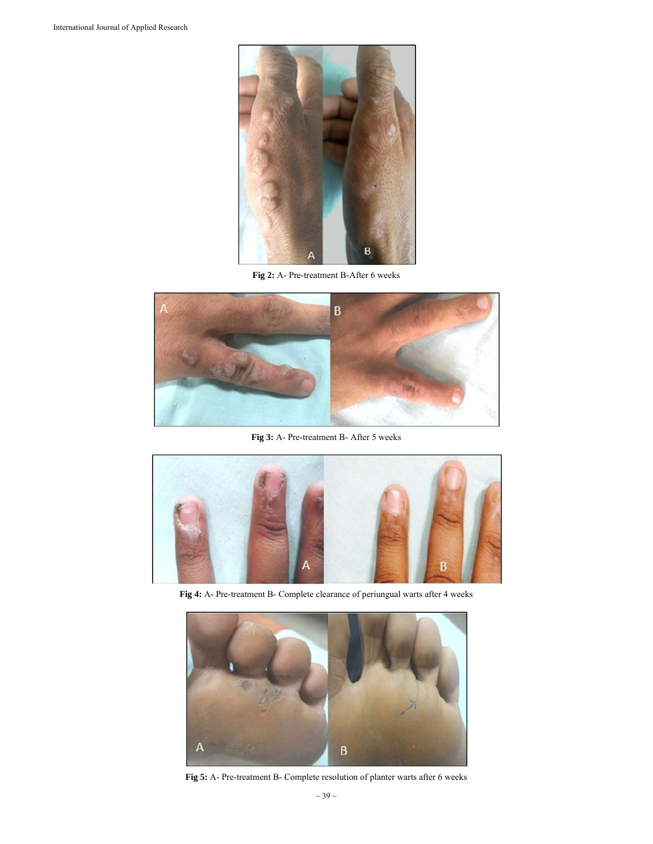

**Fig 2:** A- Pre-treatment B-After 6 weeks



**Fig 3:** A- Pre-treatment B- After 5 weeks



**Fig 4:** A- Pre-treatment B- Complete clearance of periungual warts after 4 weeks



**Fig 5:** A- Pre-treatment B- Complete resolution of planter warts after 6 weeks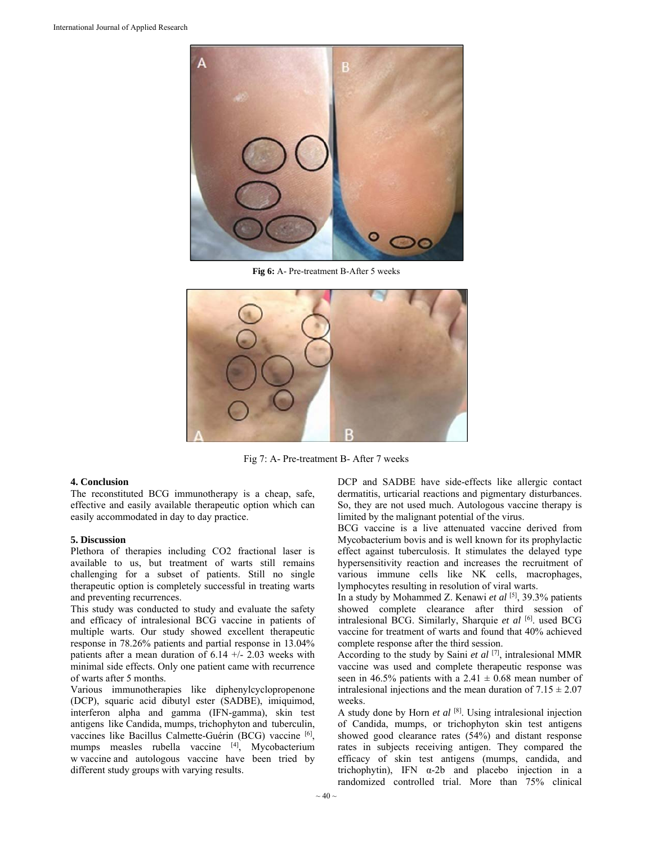

**Fig 6:** A- Pre-treatment B-After 5 weeks



Fig 7: A- Pre-treatment B- After 7 weeks

## **4. Conclusion**

The reconstituted BCG immunotherapy is a cheap, safe, effective and easily available therapeutic option which can easily accommodated in day to day practice.

## **5. Discussion**

Plethora of therapies including CO2 fractional laser is available to us, but treatment of warts still remains challenging for a subset of patients. Still no single therapeutic option is completely successful in treating warts and preventing recurrences.

This study was conducted to study and evaluate the safety and efficacy of intralesional BCG vaccine in patients of multiple warts. Our study showed excellent therapeutic response in 78.26% patients and partial response in 13.04% patients after a mean duration of  $6.14 +/- 2.03$  weeks with minimal side effects. Only one patient came with recurrence of warts after 5 months.

Various immunotherapies like diphenylcyclopropenone (DCP), squaric acid dibutyl ester (SADBE), imiquimod, interferon alpha and gamma (IFN-gamma), skin test antigens like Candida, mumps, trichophyton and tuberculin, vaccines like Bacillus Calmette-Guérin (BCG) vaccine [6], mumps measles rubella vaccine [4], Mycobacterium w vaccine and autologous vaccine have been tried by different study groups with varying results.

DCP and SADBE have side-effects like allergic contact dermatitis, urticarial reactions and pigmentary disturbances. So, they are not used much. Autologous vaccine therapy is limited by the malignant potential of the virus.

BCG vaccine is a live attenuated vaccine derived from Mycobacterium bovis and is well known for its prophylactic effect against tuberculosis. It stimulates the delayed type hypersensitivity reaction and increases the recruitment of various immune cells like NK cells, macrophages, lymphocytes resulting in resolution of viral warts.

In a study by Mohammed Z. Kenawi *et al* [5], 39.3% patients showed complete clearance after third session of intralesional BCG. Similarly, Sharquie et al [6]. used BCG vaccine for treatment of warts and found that 40% achieved complete response after the third session.

According to the study by Saini *et al* [7], intralesional MMR vaccine was used and complete therapeutic response was seen in 46.5% patients with a 2.41  $\pm$  0.68 mean number of intralesional injections and the mean duration of  $7.15 \pm 2.07$ weeks.

A study done by Horn *et al* [8]. Using intralesional injection of Candida, mumps, or trichophyton skin test antigens showed good clearance rates (54%) and distant response rates in subjects receiving antigen. They compared the efficacy of skin test antigens (mumps, candida, and trichophytin), IFN  $\alpha$ -2b and placebo injection in a randomized controlled trial. More than 75% clinical